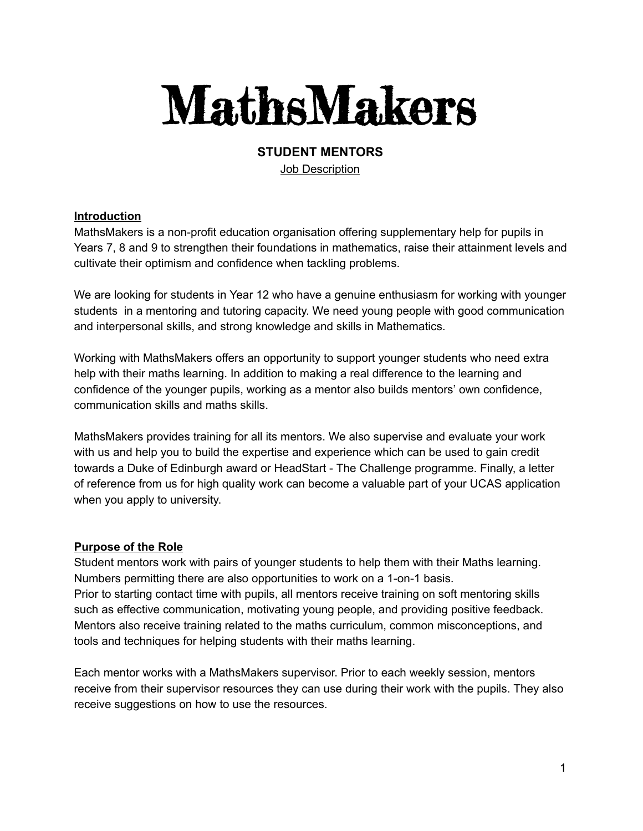# MathsMakers

#### **STUDENT MENTORS** Job Description

## **Introduction**

MathsMakers is a non-profit education organisation offering supplementary help for pupils in Years 7, 8 and 9 to strengthen their foundations in mathematics, raise their attainment levels and cultivate their optimism and confidence when tackling problems.

We are looking for students in Year 12 who have a genuine enthusiasm for working with younger students in a mentoring and tutoring capacity. We need young people with good communication and interpersonal skills, and strong knowledge and skills in Mathematics.

Working with MathsMakers offers an opportunity to support younger students who need extra help with their maths learning. In addition to making a real difference to the learning and confidence of the younger pupils, working as a mentor also builds mentors' own confidence, communication skills and maths skills.

MathsMakers provides training for all its mentors. We also supervise and evaluate your work with us and help you to build the expertise and experience which can be used to gain credit towards a Duke of Edinburgh award or HeadStart - The Challenge programme. Finally, a letter of reference from us for high quality work can become a valuable part of your UCAS application when you apply to university.

## **Purpose of the Role**

Student mentors work with pairs of younger students to help them with their Maths learning. Numbers permitting there are also opportunities to work on a 1-on-1 basis. Prior to starting contact time with pupils, all mentors receive training on soft mentoring skills such as effective communication, motivating young people, and providing positive feedback. Mentors also receive training related to the maths curriculum, common misconceptions, and tools and techniques for helping students with their maths learning.

Each mentor works with a MathsMakers supervisor. Prior to each weekly session, mentors receive from their supervisor resources they can use during their work with the pupils. They also receive suggestions on how to use the resources.